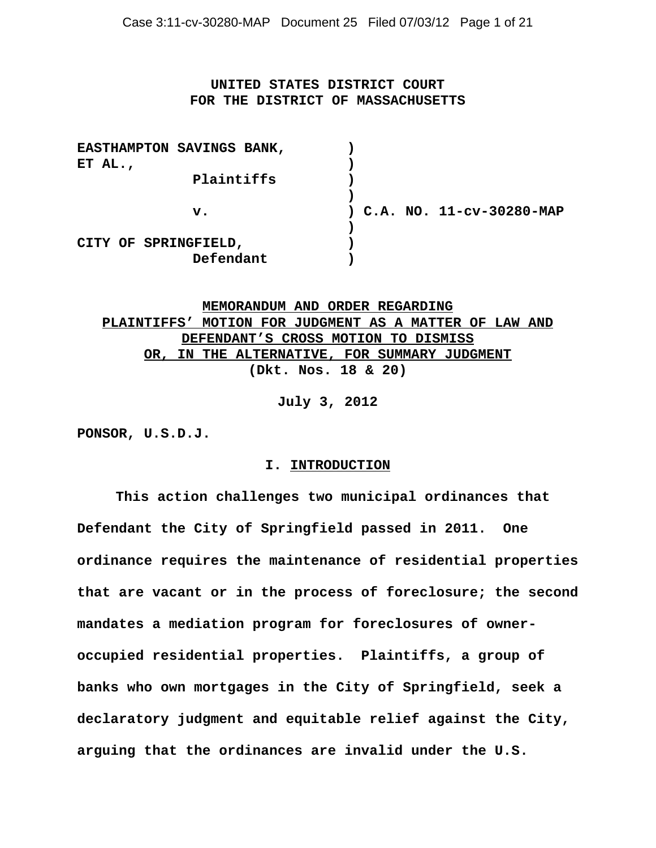# **UNITED STATES DISTRICT COURT FOR THE DISTRICT OF MASSACHUSETTS**

| ) C.A. NO. 11-cv-30280-MAP |
|----------------------------|
|                            |
|                            |
|                            |
|                            |

**MEMORANDUM AND ORDER REGARDING PLAINTIFFS' MOTION FOR JUDGMENT AS A MATTER OF LAW AND DEFENDANT'S CROSS MOTION TO DISMISS OR, IN THE ALTERNATIVE, FOR SUMMARY JUDGMENT (Dkt. Nos. 18 & 20)**

**July 3, 2012**

**PONSOR, U.S.D.J.**

### **I. INTRODUCTION**

**This action challenges two municipal ordinances that Defendant the City of Springfield passed in 2011. One ordinance requires the maintenance of residential properties that are vacant or in the process of foreclosure; the second mandates a mediation program for foreclosures of owneroccupied residential properties. Plaintiffs, a group of banks who own mortgages in the City of Springfield, seek a declaratory judgment and equitable relief against the City, arguing that the ordinances are invalid under the U.S.**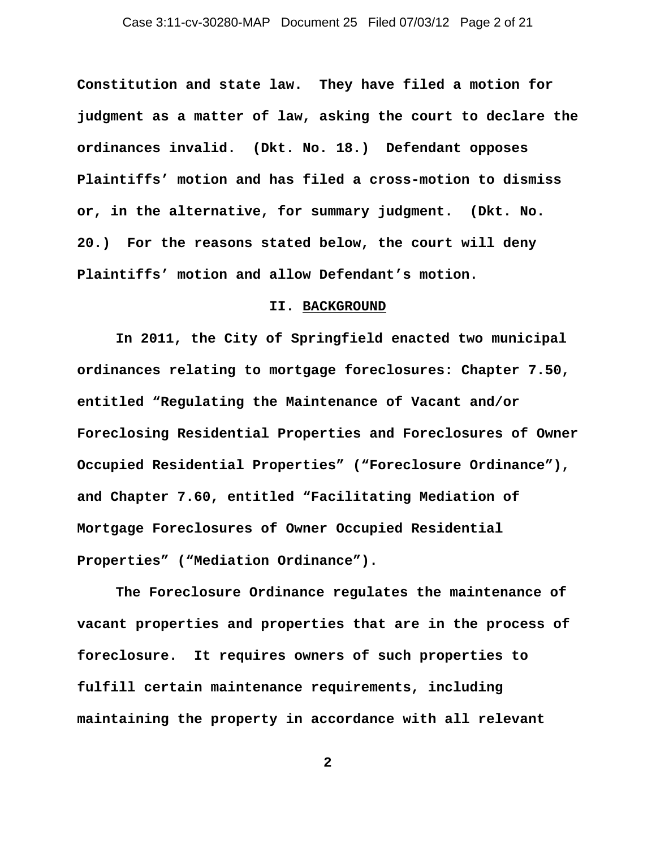**Constitution and state law. They have filed a motion for judgment as a matter of law, asking the court to declare the ordinances invalid. (Dkt. No. 18.) Defendant opposes Plaintiffs' motion and has filed a cross-motion to dismiss or, in the alternative, for summary judgment. (Dkt. No. 20.) For the reasons stated below, the court will deny Plaintiffs' motion and allow Defendant's motion.** 

## **II. BACKGROUND**

**In 2011, the City of Springfield enacted two municipal ordinances relating to mortgage foreclosures: Chapter 7.50, entitled "Regulating the Maintenance of Vacant and/or Foreclosing Residential Properties and Foreclosures of Owner Occupied Residential Properties" ("Foreclosure Ordinance"), and Chapter 7.60, entitled "Facilitating Mediation of Mortgage Foreclosures of Owner Occupied Residential Properties" ("Mediation Ordinance").** 

**The Foreclosure Ordinance regulates the maintenance of vacant properties and properties that are in the process of foreclosure. It requires owners of such properties to fulfill certain maintenance requirements, including maintaining the property in accordance with all relevant**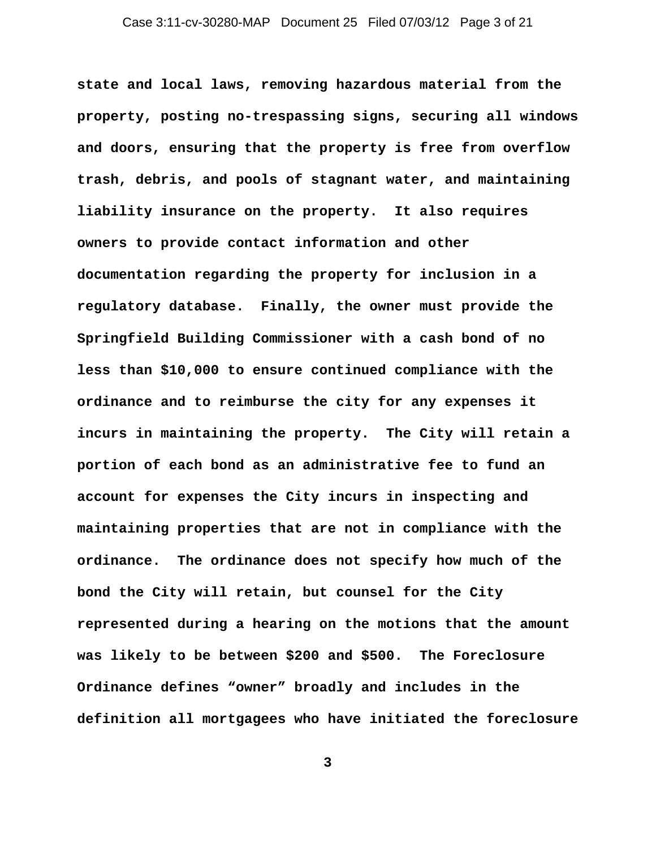**state and local laws, removing hazardous material from the property, posting no-trespassing signs, securing all windows and doors, ensuring that the property is free from overflow trash, debris, and pools of stagnant water, and maintaining liability insurance on the property. It also requires owners to provide contact information and other documentation regarding the property for inclusion in a regulatory database. Finally, the owner must provide the Springfield Building Commissioner with a cash bond of no less than \$10,000 to ensure continued compliance with the ordinance and to reimburse the city for any expenses it incurs in maintaining the property. The City will retain a portion of each bond as an administrative fee to fund an account for expenses the City incurs in inspecting and maintaining properties that are not in compliance with the ordinance. The ordinance does not specify how much of the bond the City will retain, but counsel for the City represented during a hearing on the motions that the amount was likely to be between \$200 and \$500. The Foreclosure Ordinance defines "owner" broadly and includes in the definition all mortgagees who have initiated the foreclosure**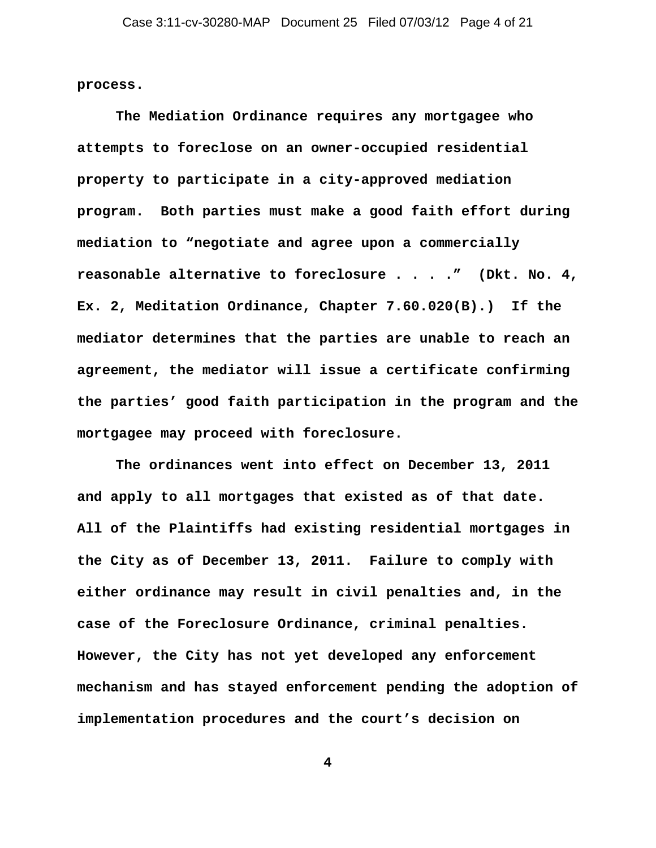**process.** 

**The Mediation Ordinance requires any mortgagee who attempts to foreclose on an owner-occupied residential property to participate in a city-approved mediation program. Both parties must make a good faith effort during mediation to "negotiate and agree upon a commercially reasonable alternative to foreclosure . . . ." (Dkt. No. 4, Ex. 2, Meditation Ordinance, Chapter 7.60.020(B).) If the mediator determines that the parties are unable to reach an agreement, the mediator will issue a certificate confirming the parties' good faith participation in the program and the mortgagee may proceed with foreclosure.**

**The ordinances went into effect on December 13, 2011 and apply to all mortgages that existed as of that date. All of the Plaintiffs had existing residential mortgages in the City as of December 13, 2011. Failure to comply with either ordinance may result in civil penalties and, in the case of the Foreclosure Ordinance, criminal penalties. However, the City has not yet developed any enforcement mechanism and has stayed enforcement pending the adoption of implementation procedures and the court's decision on**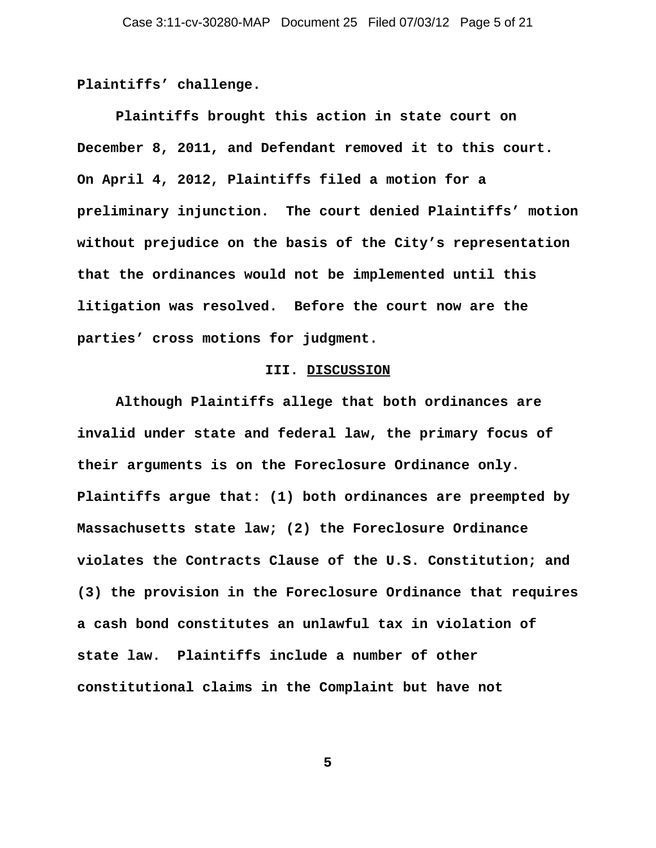**Plaintiffs' challenge.** 

**Plaintiffs brought this action in state court on December 8, 2011, and Defendant removed it to this court. On April 4, 2012, Plaintiffs filed a motion for a preliminary injunction. The court denied Plaintiffs' motion without prejudice on the basis of the City's representation that the ordinances would not be implemented until this litigation was resolved. Before the court now are the parties' cross motions for judgment.** 

# **III. DISCUSSION**

**Although Plaintiffs allege that both ordinances are invalid under state and federal law, the primary focus of their arguments is on the Foreclosure Ordinance only. Plaintiffs argue that: (1) both ordinances are preempted by Massachusetts state law; (2) the Foreclosure Ordinance violates the Contracts Clause of the U.S. Constitution; and (3) the provision in the Foreclosure Ordinance that requires a cash bond constitutes an unlawful tax in violation of state law. Plaintiffs include a number of other constitutional claims in the Complaint but have not**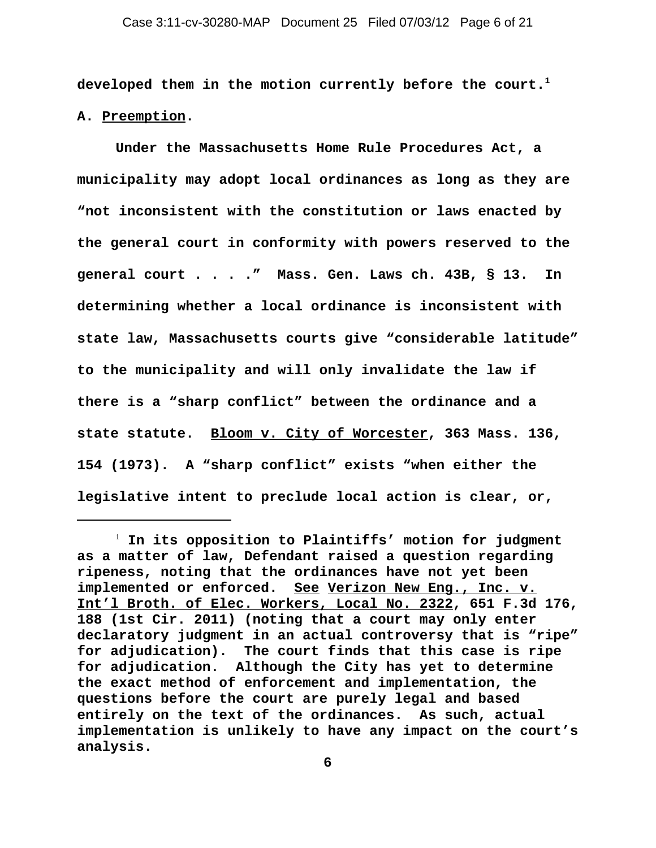**developed them in the motion currently before the court.1** 

**A. Preemption.**

**Under the Massachusetts Home Rule Procedures Act, a municipality may adopt local ordinances as long as they are "not inconsistent with the constitution or laws enacted by the general court in conformity with powers reserved to the general court . . . ." Mass. Gen. Laws ch. 43B, § 13. In determining whether a local ordinance is inconsistent with state law, Massachusetts courts give "considerable latitude" to the municipality and will only invalidate the law if there is a "sharp conflict" between the ordinance and a state statute. Bloom v. City of Worcester, 363 Mass. 136, 154 (1973). A "sharp conflict" exists "when either the legislative intent to preclude local action is clear, or,**

<sup>1</sup>  **In its opposition to Plaintiffs' motion for judgment as a matter of law, Defendant raised a question regarding ripeness, noting that the ordinances have not yet been implemented or enforced. See Verizon New Eng., Inc. v. Int'l Broth. of Elec. Workers, Local No. 2322, 651 F.3d 176, 188 (1st Cir. 2011) (noting that a court may only enter declaratory judgment in an actual controversy that is "ripe" for adjudication). The court finds that this case is ripe for adjudication. Although the City has yet to determine the exact method of enforcement and implementation, the questions before the court are purely legal and based entirely on the text of the ordinances. As such, actual implementation is unlikely to have any impact on the court's analysis.**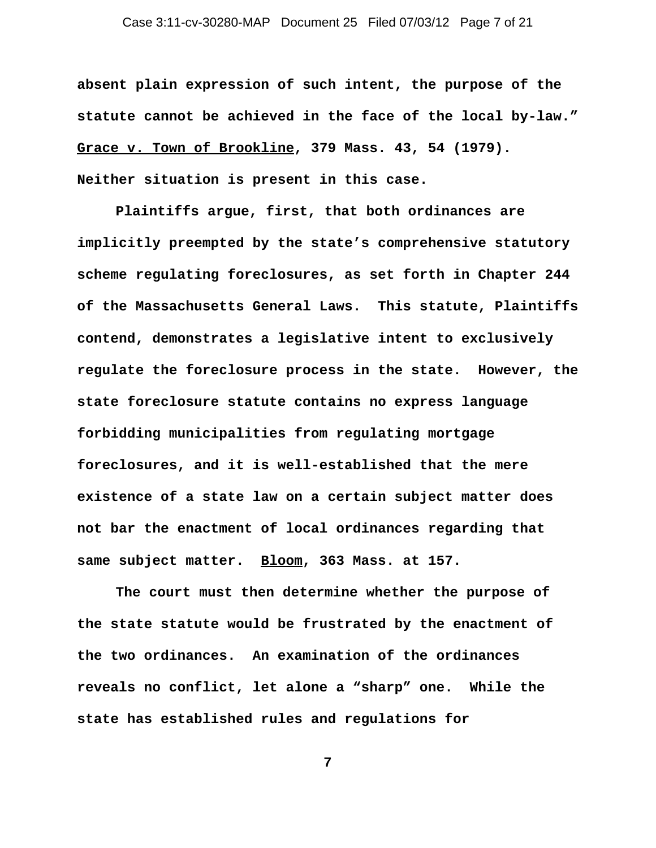## Case 3:11-cv-30280-MAP Document 25 Filed 07/03/12 Page 7 of 21

**absent plain expression of such intent, the purpose of the statute cannot be achieved in the face of the local by-law." Grace v. Town of Brookline, 379 Mass. 43, 54 (1979). Neither situation is present in this case.** 

**Plaintiffs argue, first, that both ordinances are implicitly preempted by the state's comprehensive statutory scheme regulating foreclosures, as set forth in Chapter 244 of the Massachusetts General Laws. This statute, Plaintiffs contend, demonstrates a legislative intent to exclusively regulate the foreclosure process in the state. However, the state foreclosure statute contains no express language forbidding municipalities from regulating mortgage foreclosures, and it is well-established that the mere existence of a state law on a certain subject matter does not bar the enactment of local ordinances regarding that same subject matter. Bloom, 363 Mass. at 157.**

**The court must then determine whether the purpose of the state statute would be frustrated by the enactment of the two ordinances. An examination of the ordinances reveals no conflict, let alone a "sharp" one. While the state has established rules and regulations for**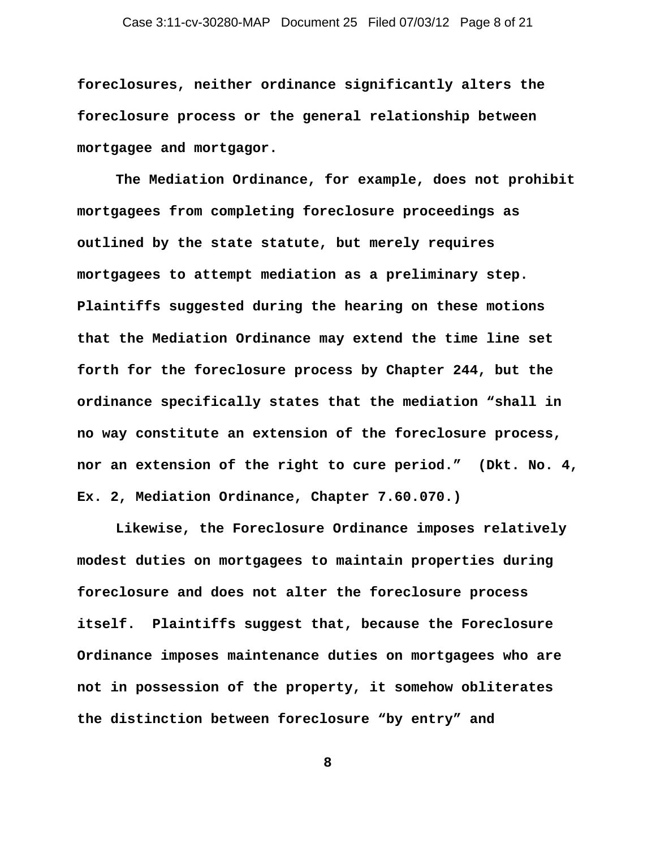**foreclosures, neither ordinance significantly alters the foreclosure process or the general relationship between mortgagee and mortgagor.** 

**The Mediation Ordinance, for example, does not prohibit mortgagees from completing foreclosure proceedings as outlined by the state statute, but merely requires mortgagees to attempt mediation as a preliminary step. Plaintiffs suggested during the hearing on these motions that the Mediation Ordinance may extend the time line set forth for the foreclosure process by Chapter 244, but the ordinance specifically states that the mediation "shall in no way constitute an extension of the foreclosure process, nor an extension of the right to cure period." (Dkt. No. 4, Ex. 2, Mediation Ordinance, Chapter 7.60.070.)** 

**Likewise, the Foreclosure Ordinance imposes relatively modest duties on mortgagees to maintain properties during foreclosure and does not alter the foreclosure process itself. Plaintiffs suggest that, because the Foreclosure Ordinance imposes maintenance duties on mortgagees who are not in possession of the property, it somehow obliterates the distinction between foreclosure "by entry" and**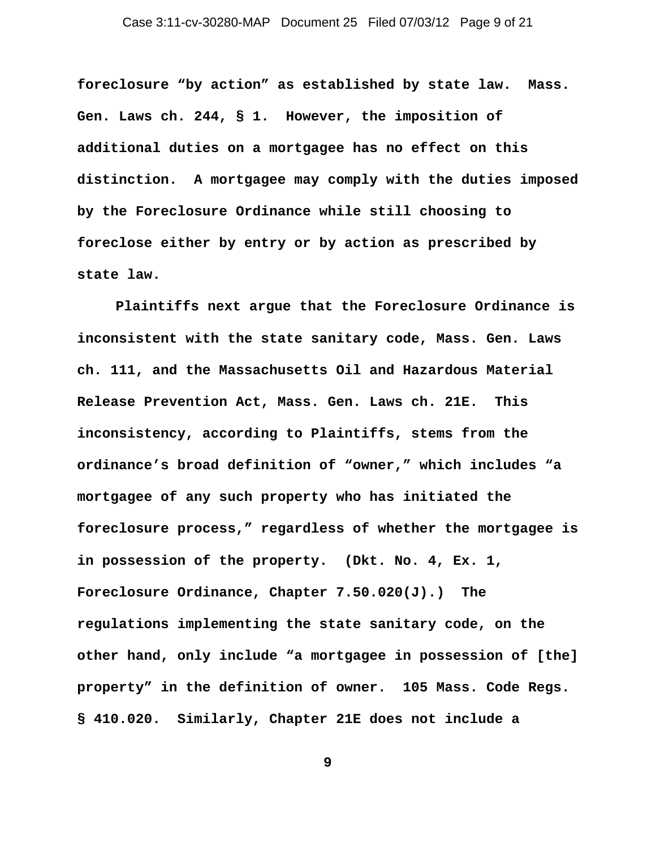**foreclosure "by action" as established by state law. Mass. Gen. Laws ch. 244, § 1. However, the imposition of additional duties on a mortgagee has no effect on this distinction. A mortgagee may comply with the duties imposed by the Foreclosure Ordinance while still choosing to foreclose either by entry or by action as prescribed by state law.** 

**Plaintiffs next argue that the Foreclosure Ordinance is inconsistent with the state sanitary code, Mass. Gen. Laws ch. 111, and the Massachusetts Oil and Hazardous Material Release Prevention Act, Mass. Gen. Laws ch. 21E. This inconsistency, according to Plaintiffs, stems from the ordinance's broad definition of "owner," which includes "a mortgagee of any such property who has initiated the foreclosure process," regardless of whether the mortgagee is in possession of the property. (Dkt. No. 4, Ex. 1, Foreclosure Ordinance, Chapter 7.50.020(J).) The regulations implementing the state sanitary code, on the other hand, only include "a mortgagee in possession of [the] property" in the definition of owner. 105 Mass. Code Regs. § 410.020. Similarly, Chapter 21E does not include a**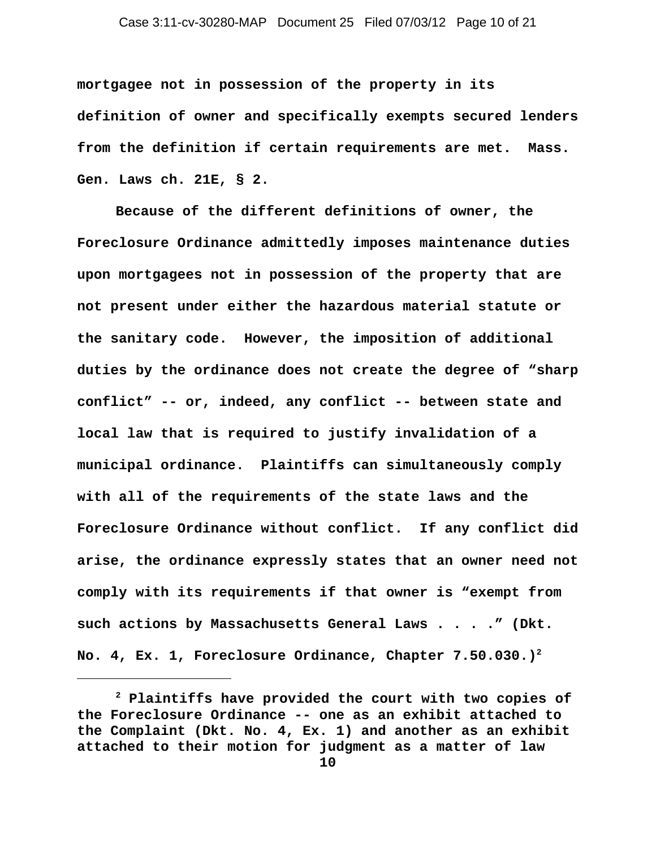**mortgagee not in possession of the property in its definition of owner and specifically exempts secured lenders from the definition if certain requirements are met. Mass. Gen. Laws ch. 21E, § 2.** 

**Because of the different definitions of owner, the Foreclosure Ordinance admittedly imposes maintenance duties upon mortgagees not in possession of the property that are not present under either the hazardous material statute or the sanitary code. However, the imposition of additional duties by the ordinance does not create the degree of "sharp conflict" -- or, indeed, any conflict -- between state and local law that is required to justify invalidation of a municipal ordinance. Plaintiffs can simultaneously comply with all of the requirements of the state laws and the Foreclosure Ordinance without conflict. If any conflict did arise, the ordinance expressly states that an owner need not comply with its requirements if that owner is "exempt from such actions by Massachusetts General Laws . . . ." (Dkt. No. 4, Ex. 1, Foreclosure Ordinance, Chapter 7.50.030.)2**

**<sup>2</sup> Plaintiffs have provided the court with two copies of the Foreclosure Ordinance -- one as an exhibit attached to the Complaint (Dkt. No. 4, Ex. 1) and another as an exhibit attached to their motion for judgment as a matter of law**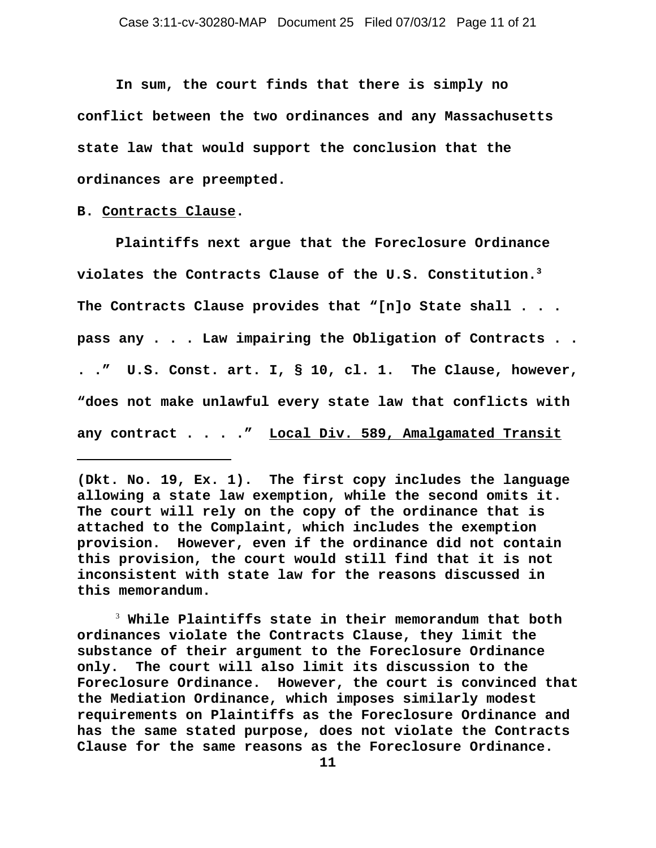**In sum, the court finds that there is simply no conflict between the two ordinances and any Massachusetts state law that would support the conclusion that the ordinances are preempted.** 

### **B. Contracts Clause.**

**Plaintiffs next argue that the Foreclosure Ordinance violates the Contracts Clause of the U.S. Constitution.3 The Contracts Clause provides that "[n]o State shall . . . pass any . . . Law impairing the Obligation of Contracts . . . ." U.S. Const. art. I, § 10, cl. 1. The Clause, however, "does not make unlawful every state law that conflicts with any contract . . . ." Local Div. 589, Amalgamated Transit**

3  **While Plaintiffs state in their memorandum that both ordinances violate the Contracts Clause, they limit the substance of their argument to the Foreclosure Ordinance only. The court will also limit its discussion to the Foreclosure Ordinance. However, the court is convinced that the Mediation Ordinance, which imposes similarly modest requirements on Plaintiffs as the Foreclosure Ordinance and has the same stated purpose, does not violate the Contracts Clause for the same reasons as the Foreclosure Ordinance.** 

**<sup>(</sup>Dkt. No. 19, Ex. 1). The first copy includes the language allowing a state law exemption, while the second omits it. The court will rely on the copy of the ordinance that is attached to the Complaint, which includes the exemption provision. However, even if the ordinance did not contain this provision, the court would still find that it is not inconsistent with state law for the reasons discussed in this memorandum.**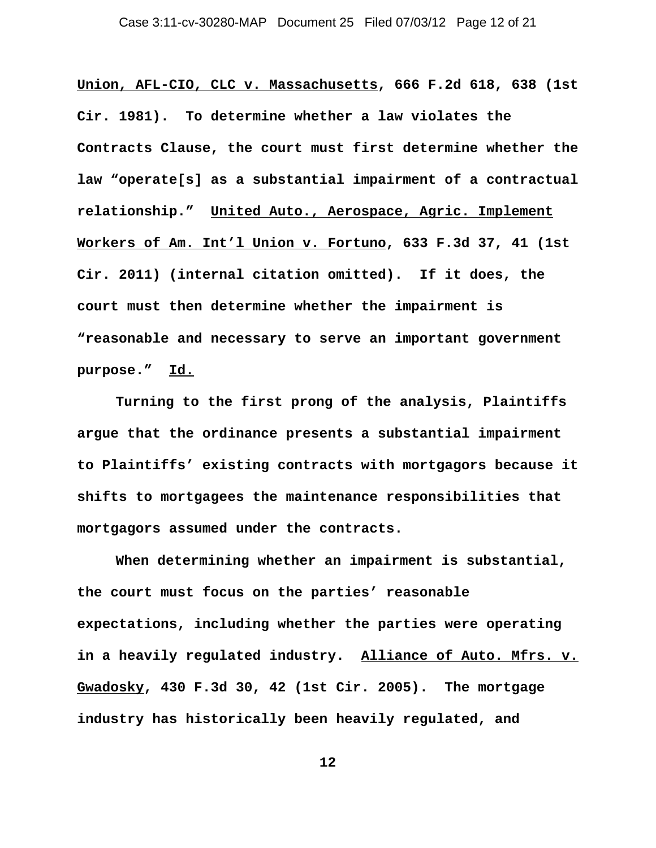**Union, AFL-CIO, CLC v. Massachusetts, 666 F.2d 618, 638 (1st Cir. 1981). To determine whether a law violates the Contracts Clause, the court must first determine whether the law "operate[s] as a substantial impairment of a contractual relationship." United Auto., Aerospace, Agric. Implement Workers of Am. Int'l Union v. Fortuno, 633 F.3d 37, 41 (1st Cir. 2011) (internal citation omitted). If it does, the court must then determine whether the impairment is "reasonable and necessary to serve an important government purpose." Id.**

**Turning to the first prong of the analysis, Plaintiffs argue that the ordinance presents a substantial impairment to Plaintiffs' existing contracts with mortgagors because it shifts to mortgagees the maintenance responsibilities that mortgagors assumed under the contracts.** 

**When determining whether an impairment is substantial, the court must focus on the parties' reasonable expectations, including whether the parties were operating in a heavily regulated industry. Alliance of Auto. Mfrs. v. Gwadosky, 430 F.3d 30, 42 (1st Cir. 2005). The mortgage industry has historically been heavily regulated, and**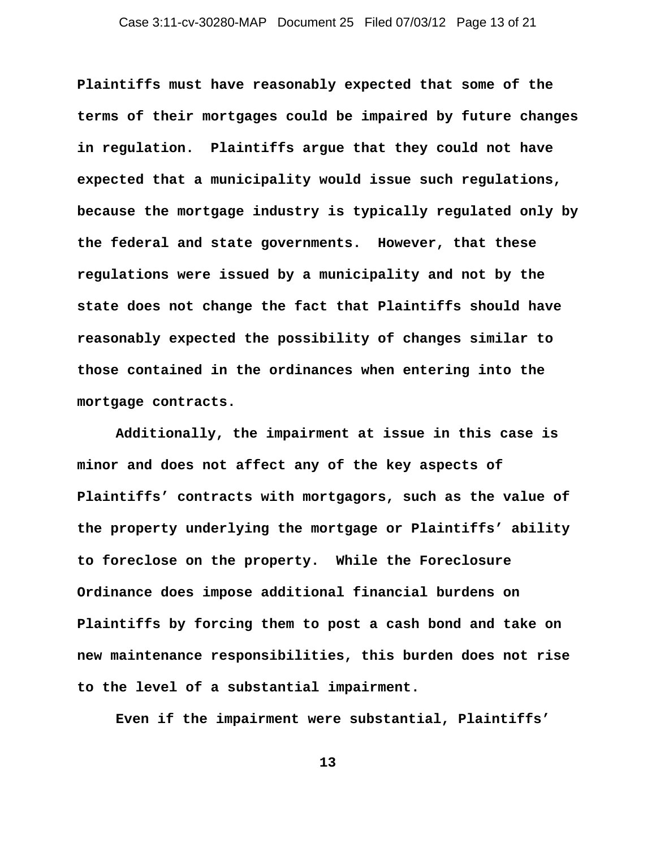**Plaintiffs must have reasonably expected that some of the terms of their mortgages could be impaired by future changes in regulation. Plaintiffs argue that they could not have expected that a municipality would issue such regulations, because the mortgage industry is typically regulated only by the federal and state governments. However, that these regulations were issued by a municipality and not by the state does not change the fact that Plaintiffs should have reasonably expected the possibility of changes similar to those contained in the ordinances when entering into the mortgage contracts.**

**Additionally, the impairment at issue in this case is minor and does not affect any of the key aspects of Plaintiffs' contracts with mortgagors, such as the value of the property underlying the mortgage or Plaintiffs' ability to foreclose on the property. While the Foreclosure Ordinance does impose additional financial burdens on Plaintiffs by forcing them to post a cash bond and take on new maintenance responsibilities, this burden does not rise to the level of a substantial impairment.**

**Even if the impairment were substantial, Plaintiffs'**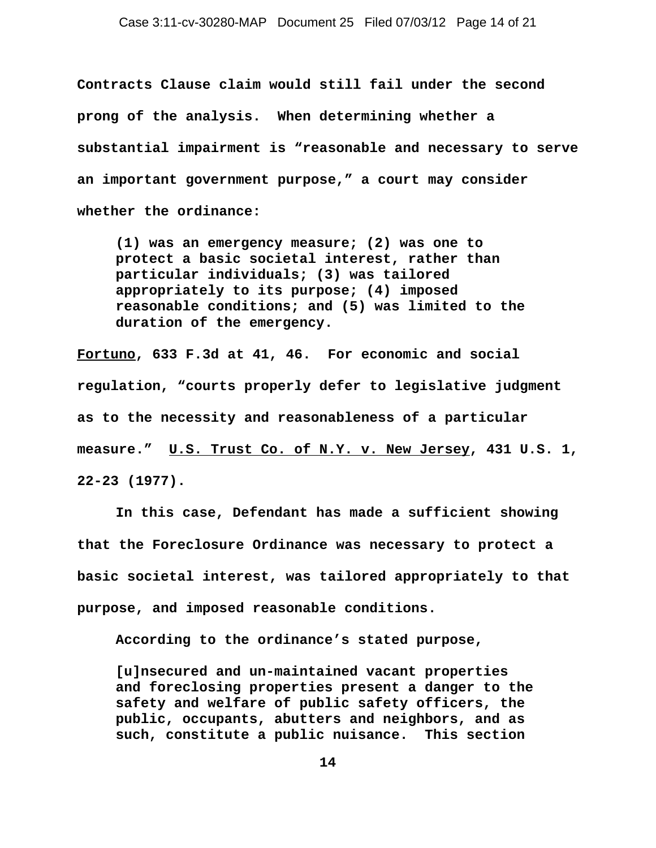**Contracts Clause claim would still fail under the second prong of the analysis. When determining whether a substantial impairment is "reasonable and necessary to serve an important government purpose," a court may consider whether the ordinance:** 

**(1) was an emergency measure; (2) was one to protect a basic societal interest, rather than particular individuals; (3) was tailored appropriately to its purpose; (4) imposed reasonable conditions; and (5) was limited to the duration of the emergency.**

**Fortuno, 633 F.3d at 41, 46. For economic and social regulation, "courts properly defer to legislative judgment as to the necessity and reasonableness of a particular measure." U.S. Trust Co. of N.Y. v. New Jersey, 431 U.S. 1, 22-23 (1977).** 

**In this case, Defendant has made a sufficient showing that the Foreclosure Ordinance was necessary to protect a basic societal interest, was tailored appropriately to that purpose, and imposed reasonable conditions.** 

**According to the ordinance's stated purpose,**

**[u]nsecured and un-maintained vacant properties and foreclosing properties present a danger to the safety and welfare of public safety officers, the public, occupants, abutters and neighbors, and as such, constitute a public nuisance. This section**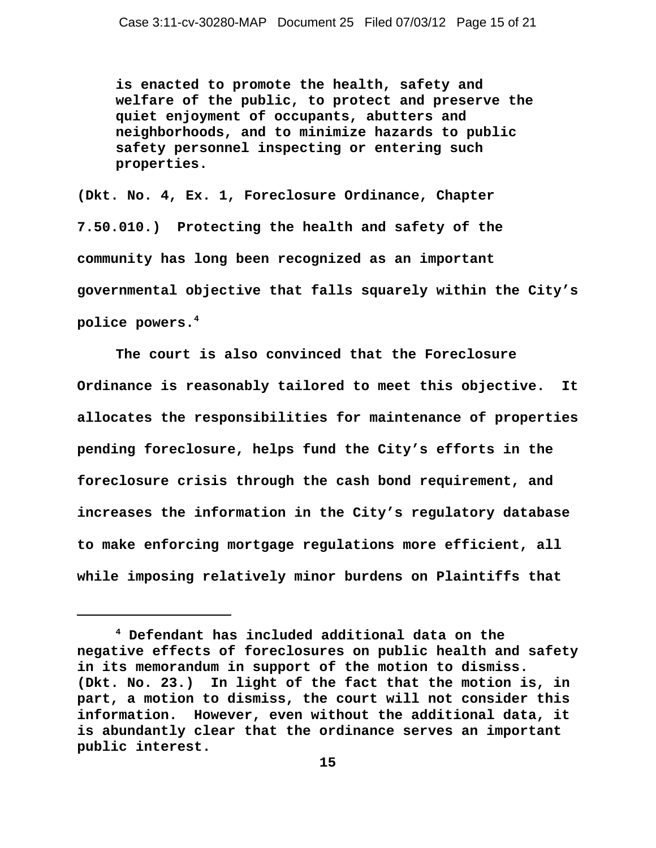**is enacted to promote the health, safety and welfare of the public, to protect and preserve the quiet enjoyment of occupants, abutters and neighborhoods, and to minimize hazards to public safety personnel inspecting or entering such properties.**

**(Dkt. No. 4, Ex. 1, Foreclosure Ordinance, Chapter 7.50.010.) Protecting the health and safety of the community has long been recognized as an important governmental objective that falls squarely within the City's police powers.4** 

**The court is also convinced that the Foreclosure Ordinance is reasonably tailored to meet this objective. It allocates the responsibilities for maintenance of properties pending foreclosure, helps fund the City's efforts in the foreclosure crisis through the cash bond requirement, and increases the information in the City's regulatory database to make enforcing mortgage regulations more efficient, all while imposing relatively minor burdens on Plaintiffs that**

**<sup>4</sup> Defendant has included additional data on the negative effects of foreclosures on public health and safety in its memorandum in support of the motion to dismiss. (Dkt. No. 23.) In light of the fact that the motion is, in part, a motion to dismiss, the court will not consider this information. However, even without the additional data, it is abundantly clear that the ordinance serves an important public interest.**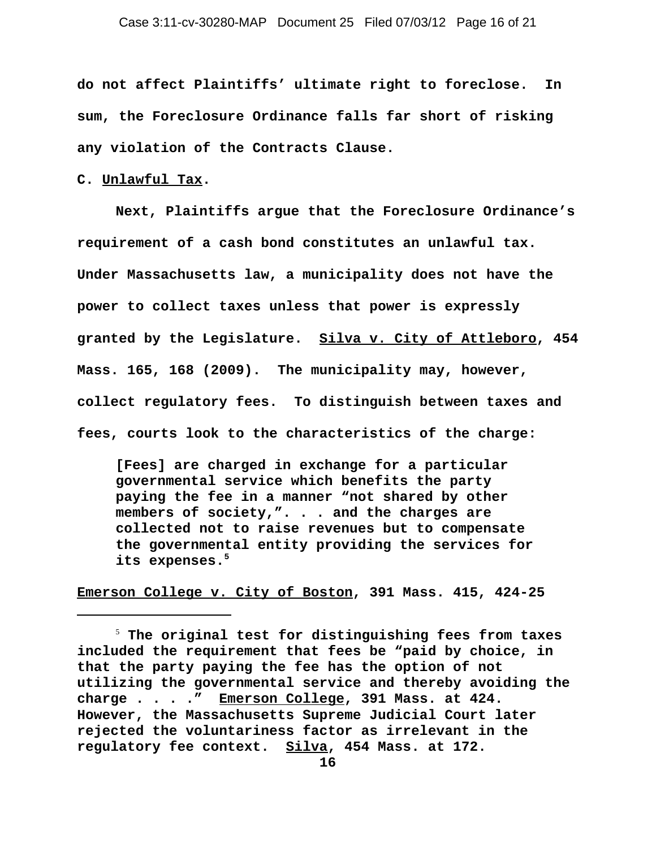**do not affect Plaintiffs' ultimate right to foreclose. In sum, the Foreclosure Ordinance falls far short of risking any violation of the Contracts Clause.** 

### **C. Unlawful Tax.**

**Next, Plaintiffs argue that the Foreclosure Ordinance's requirement of a cash bond constitutes an unlawful tax. Under Massachusetts law, a municipality does not have the power to collect taxes unless that power is expressly granted by the Legislature. Silva v. City of Attleboro, 454 Mass. 165, 168 (2009). The municipality may, however, collect regulatory fees. To distinguish between taxes and fees, courts look to the characteristics of the charge:** 

**[Fees] are charged in exchange for a particular governmental service which benefits the party paying the fee in a manner "not shared by other members of society,". . . and the charges are collected not to raise revenues but to compensate the governmental entity providing the services for its expenses.5**

**Emerson College v. City of Boston, 391 Mass. 415, 424-25**

<sup>5</sup>  **The original test for distinguishing fees from taxes included the requirement that fees be "paid by choice, in that the party paying the fee has the option of not utilizing the governmental service and thereby avoiding the charge . . . ." Emerson College, 391 Mass. at 424. However, the Massachusetts Supreme Judicial Court later rejected the voluntariness factor as irrelevant in the regulatory fee context. Silva, 454 Mass. at 172.**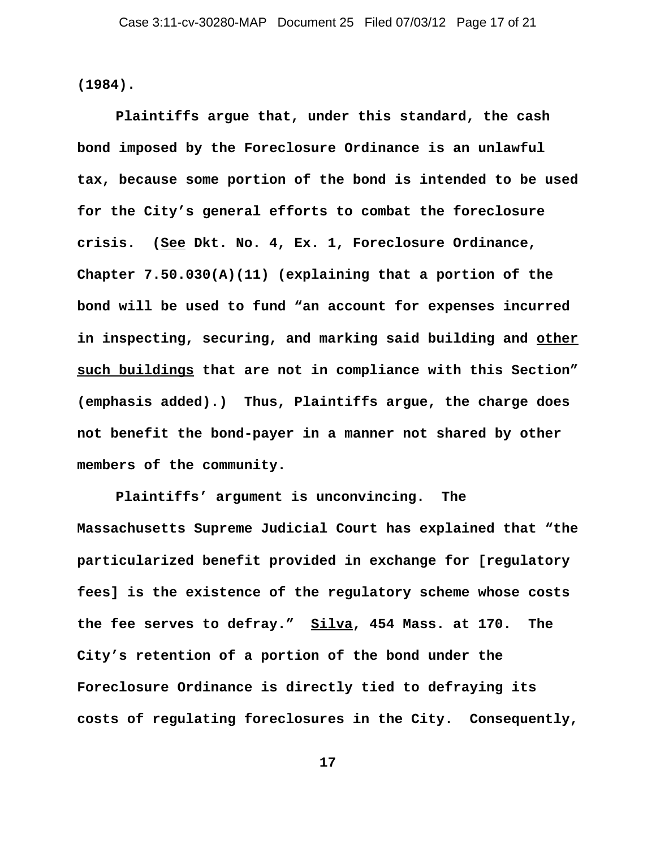**(1984).** 

**Plaintiffs argue that, under this standard, the cash bond imposed by the Foreclosure Ordinance is an unlawful tax, because some portion of the bond is intended to be used for the City's general efforts to combat the foreclosure crisis. (See Dkt. No. 4, Ex. 1, Foreclosure Ordinance, Chapter 7.50.030(A)(11) (explaining that a portion of the bond will be used to fund "an account for expenses incurred in inspecting, securing, and marking said building and other such buildings that are not in compliance with this Section" (emphasis added).) Thus, Plaintiffs argue, the charge does not benefit the bond-payer in a manner not shared by other members of the community.** 

**Plaintiffs' argument is unconvincing. The Massachusetts Supreme Judicial Court has explained that "the particularized benefit provided in exchange for [regulatory fees] is the existence of the regulatory scheme whose costs the fee serves to defray." Silva, 454 Mass. at 170. The City's retention of a portion of the bond under the Foreclosure Ordinance is directly tied to defraying its costs of regulating foreclosures in the City. Consequently,**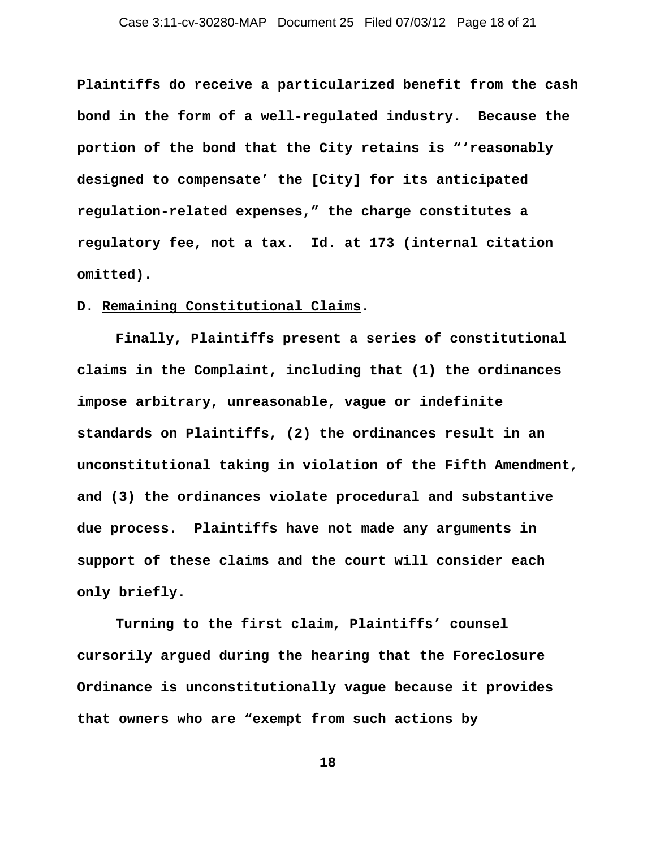**Plaintiffs do receive a particularized benefit from the cash bond in the form of a well-regulated industry. Because the portion of the bond that the City retains is "'reasonably designed to compensate' the [City] for its anticipated regulation-related expenses," the charge constitutes a regulatory fee, not a tax. Id. at 173 (internal citation omitted).** 

## **D. Remaining Constitutional Claims.**

**Finally, Plaintiffs present a series of constitutional claims in the Complaint, including that (1) the ordinances impose arbitrary, unreasonable, vague or indefinite standards on Plaintiffs, (2) the ordinances result in an unconstitutional taking in violation of the Fifth Amendment, and (3) the ordinances violate procedural and substantive due process. Plaintiffs have not made any arguments in support of these claims and the court will consider each only briefly.**

**Turning to the first claim, Plaintiffs' counsel cursorily argued during the hearing that the Foreclosure Ordinance is unconstitutionally vague because it provides that owners who are "exempt from such actions by**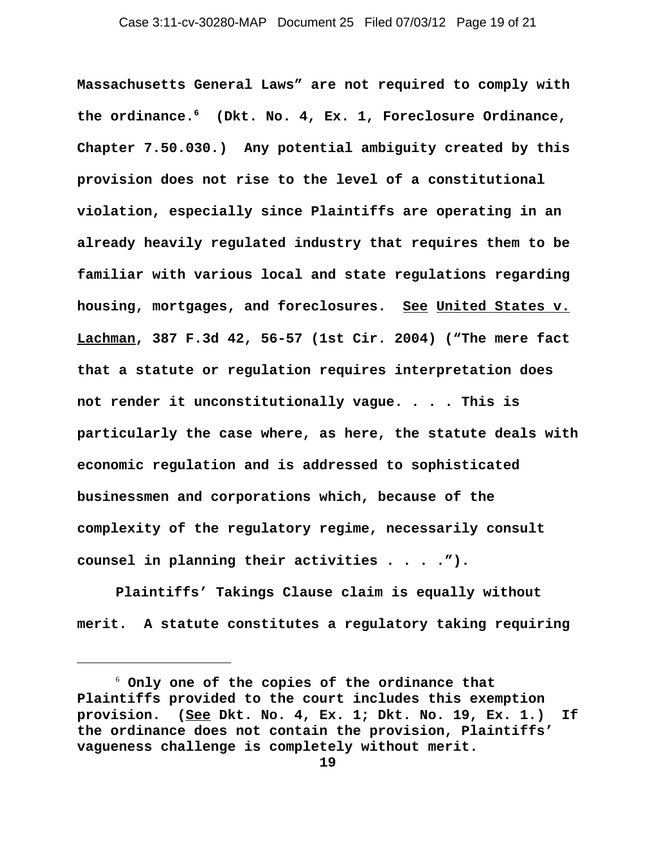**Massachusetts General Laws" are not required to comply with the ordinance.6 (Dkt. No. 4, Ex. 1, Foreclosure Ordinance, Chapter 7.50.030.) Any potential ambiguity created by this provision does not rise to the level of a constitutional violation, especially since Plaintiffs are operating in an already heavily regulated industry that requires them to be familiar with various local and state regulations regarding housing, mortgages, and foreclosures. See United States v. Lachman, 387 F.3d 42, 56-57 (1st Cir. 2004) ("The mere fact that a statute or regulation requires interpretation does not render it unconstitutionally vague. . . . This is particularly the case where, as here, the statute deals with economic regulation and is addressed to sophisticated businessmen and corporations which, because of the complexity of the regulatory regime, necessarily consult counsel in planning their activities . . . .").** 

**Plaintiffs' Takings Clause claim is equally without merit. A statute constitutes a regulatory taking requiring**

 $6$  Only one of the copies of the ordinance that **Plaintiffs provided to the court includes this exemption provision. (See Dkt. No. 4, Ex. 1; Dkt. No. 19, Ex. 1.) If the ordinance does not contain the provision, Plaintiffs' vagueness challenge is completely without merit.**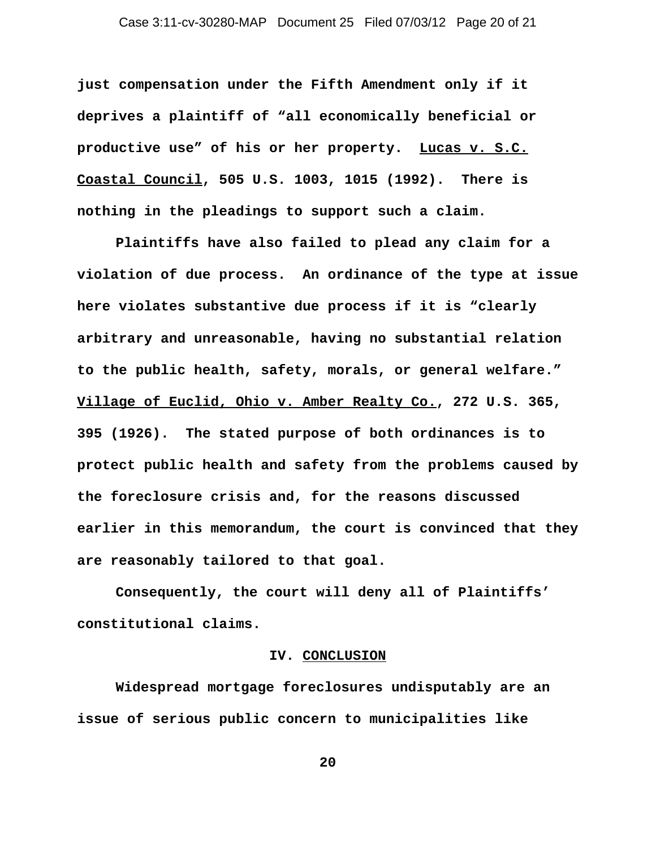**just compensation under the Fifth Amendment only if it deprives a plaintiff of "all economically beneficial or productive use" of his or her property. Lucas v. S.C. Coastal Council, 505 U.S. 1003, 1015 (1992). There is nothing in the pleadings to support such a claim.**

**Plaintiffs have also failed to plead any claim for a violation of due process. An ordinance of the type at issue here violates substantive due process if it is "clearly arbitrary and unreasonable, having no substantial relation to the public health, safety, morals, or general welfare." Village of Euclid, Ohio v. Amber Realty Co., 272 U.S. 365, 395 (1926). The stated purpose of both ordinances is to protect public health and safety from the problems caused by the foreclosure crisis and, for the reasons discussed earlier in this memorandum, the court is convinced that they are reasonably tailored to that goal.**

**Consequently, the court will deny all of Plaintiffs' constitutional claims.**

### **IV. CONCLUSION**

**Widespread mortgage foreclosures undisputably are an issue of serious public concern to municipalities like**